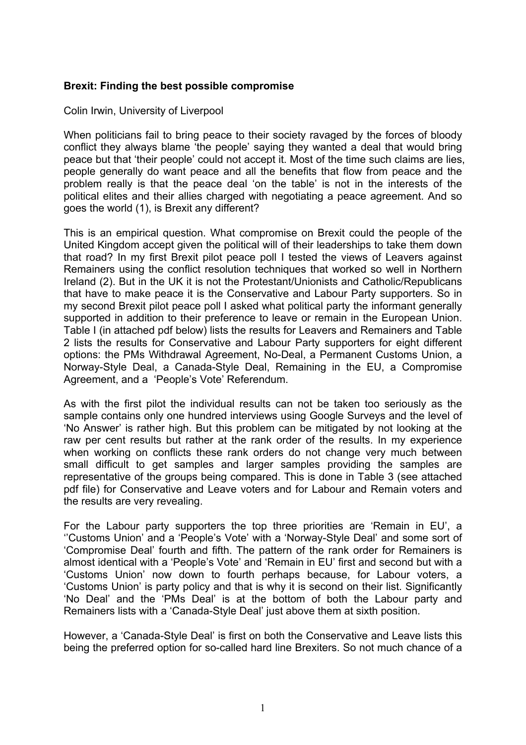## **Brexit: Finding the best possible compromise**

Colin Irwin, University of Liverpool

When politicians fail to bring peace to their society ravaged by the forces of bloody conflict they always blame 'the people' saying they wanted a deal that would bring peace but that 'their people' could not accept it. Most of the time such claims are lies, people generally do want peace and all the benefits that flow from peace and the problem really is that the peace deal 'on the table' is not in the interests of the political elites and their allies charged with negotiating a peace agreement. And so goes the world (1), is Brexit any different?

This is an empirical question. What compromise on Brexit could the people of the United Kingdom accept given the political will of their leaderships to take them down that road? In my first Brexit pilot peace poll I tested the views of Leavers against Remainers using the conflict resolution techniques that worked so well in Northern Ireland (2). But in the UK it is not the Protestant/Unionists and Catholic/Republicans that have to make peace it is the Conservative and Labour Party supporters. So in my second Brexit pilot peace poll I asked what political party the informant generally supported in addition to their preference to leave or remain in the European Union. Table I (in attached pdf below) lists the results for Leavers and Remainers and Table 2 lists the results for Conservative and Labour Party supporters for eight different options: the PMs Withdrawal Agreement, No-Deal, a Permanent Customs Union, a Norway-Style Deal, a Canada-Style Deal, Remaining in the EU, a Compromise Agreement, and a 'People's Vote' Referendum.

As with the first pilot the individual results can not be taken too seriously as the sample contains only one hundred interviews using Google Surveys and the level of 'No Answer' is rather high. But this problem can be mitigated by not looking at the raw per cent results but rather at the rank order of the results. In my experience when working on conflicts these rank orders do not change very much between small difficult to get samples and larger samples providing the samples are representative of the groups being compared. This is done in Table 3 (see attached pdf file) for Conservative and Leave voters and for Labour and Remain voters and the results are very revealing.

For the Labour party supporters the top three priorities are 'Remain in EU', a ''Customs Union' and a 'People's Vote' with a 'Norway-Style Deal' and some sort of 'Compromise Deal' fourth and fifth. The pattern of the rank order for Remainers is almost identical with a 'People's Vote' and 'Remain in EU' first and second but with a 'Customs Union' now down to fourth perhaps because, for Labour voters, a 'Customs Union' is party policy and that is why it is second on their list. Significantly 'No Deal' and the 'PMs Deal' is at the bottom of both the Labour party and Remainers lists with a 'Canada-Style Deal' just above them at sixth position.

However, a 'Canada-Style Deal' is first on both the Conservative and Leave lists this being the preferred option for so-called hard line Brexiters. So not much chance of a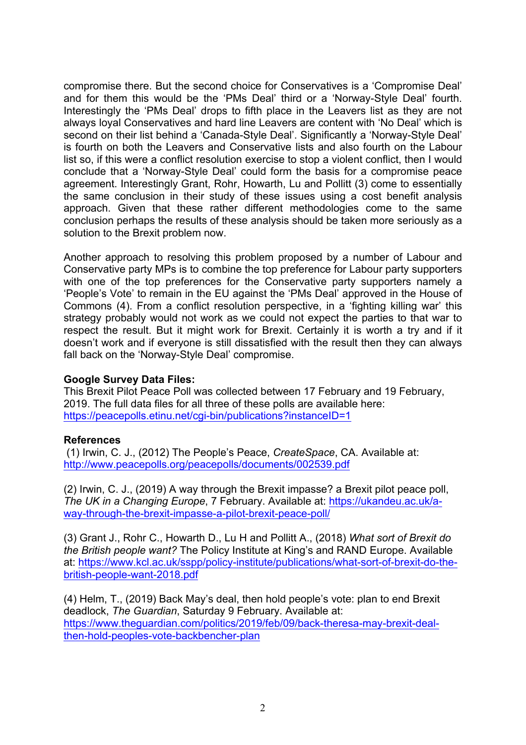compromise there. But the second choice for Conservatives is a 'Compromise Deal' and for them this would be the 'PMs Deal' third or a 'Norway-Style Deal' fourth. Interestingly the 'PMs Deal' drops to fifth place in the Leavers list as they are not always loyal Conservatives and hard line Leavers are content with 'No Deal' which is second on their list behind a 'Canada-Style Deal'. Significantly a 'Norway-Style Deal' is fourth on both the Leavers and Conservative lists and also fourth on the Labour list so, if this were a conflict resolution exercise to stop a violent conflict, then I would conclude that a 'Norway-Style Deal' could form the basis for a compromise peace agreement. Interestingly Grant, Rohr, Howarth, Lu and Pollitt (3) come to essentially the same conclusion in their study of these issues using a cost benefit analysis approach. Given that these rather different methodologies come to the same conclusion perhaps the results of these analysis should be taken more seriously as a solution to the Brexit problem now.

Another approach to resolving this problem proposed by a number of Labour and Conservative party MPs is to combine the top preference for Labour party supporters with one of the top preferences for the Conservative party supporters namely a 'People's Vote' to remain in the EU against the 'PMs Deal' approved in the House of Commons (4). From a conflict resolution perspective, in a 'fighting killing war' this strategy probably would not work as we could not expect the parties to that war to respect the result. But it might work for Brexit. Certainly it is worth a try and if it doesn't work and if everyone is still dissatisfied with the result then they can always fall back on the 'Norway-Style Deal' compromise.

## **Google Survey Data Files:**

This Brexit Pilot Peace Poll was collected between 17 February and 19 February, 2019. The full data files for all three of these polls are available here: https://peacepolls.etinu.net/cgi-bin/publications?instanceID=1

## **References**

(1) Irwin, C. J., (2012) The People's Peace, *CreateSpace*, CA. Available at: http://www.peacepolls.org/peacepolls/documents/002539.pdf

(2) Irwin, C. J., (2019) A way through the Brexit impasse? a Brexit pilot peace poll, *The UK in a Changing Europe*, 7 February. Available at: https://ukandeu.ac.uk/away-through-the-brexit-impasse-a-pilot-brexit-peace-poll/

(3) Grant J., Rohr C., Howarth D., Lu H and Pollitt A., (2018) *What sort of Brexit do the British people want?* The Policy Institute at King's and RAND Europe. Available at: https://www.kcl.ac.uk/sspp/policy-institute/publications/what-sort-of-brexit-do-thebritish-people-want-2018.pdf

(4) Helm, T., (2019) Back May's deal, then hold people's vote: plan to end Brexit deadlock, *The Guardian*, Saturday 9 February. Available at: https://www.theguardian.com/politics/2019/feb/09/back-theresa-may-brexit-dealthen-hold-peoples-vote-backbencher-plan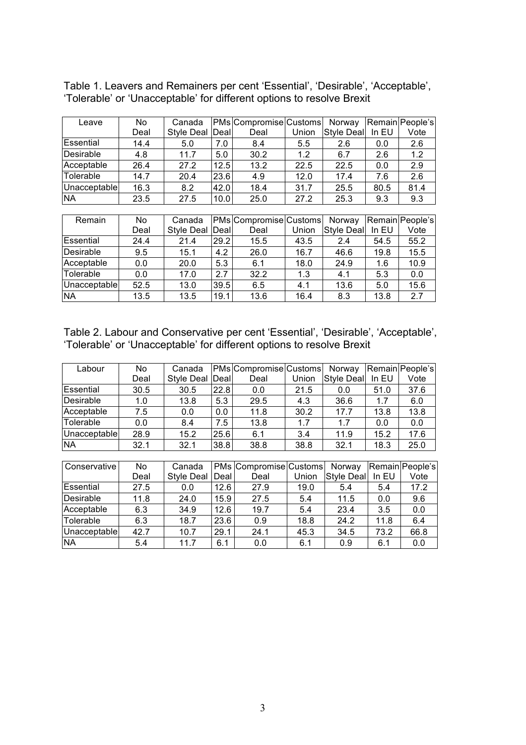| Leave        | No   | Canada            |              | <b>PMs</b> Compromise Customs |       | Norway            |         | Remain People's |
|--------------|------|-------------------|--------------|-------------------------------|-------|-------------------|---------|-----------------|
|              | Deal | <b>Style Deal</b> | <b>IDeal</b> | Deal                          | Union | <b>Style Deal</b> | In $EU$ | Vote            |
| Essential    | 14.4 | 5.0               | 7.0          | 8.4                           | 5.5   | 2.6               | 0.0     | 2.6             |
| Desirable    | 4.8  | 11.7              | 5.0          | 30.2                          | 1.2   | 6.7               | 2.6     | 1.2             |
| Acceptable   | 26.4 | 27.2              | 12.5         | 13.2                          | 22.5  | 22.5              | 0.0     | 2.9             |
| Tolerable    | 14.7 | 20.4              | 23.6         | 4.9                           | 12.0  | 17.4              | 7.6     | 2.6             |
| Unacceptable | 16.3 | 8.2               | 42.0         | 18.4                          | 31.7  | 25.5              | 80.5    | 81.4            |
| <b>NA</b>    | 23.5 | 27.5              | 10.0         | 25.0                          | 27.2  | 25.3              | 9.3     | 9.3             |

Table 1. Leavers and Remainers per cent 'Essential', 'Desirable', 'Acceptable', 'Tolerable' or 'Unacceptable' for different options to resolve Brexit

| Remain       | No.  | Canada            |      | PMs Compromise Customs |       | Norway     |       | Remain People's |
|--------------|------|-------------------|------|------------------------|-------|------------|-------|-----------------|
|              | Deal | Style Deal   Deal |      | Deal                   | Union | Style Deal | In EU | Vote            |
| Essential    | 24.4 | 21.4              | 29.2 | 15.5                   | 43.5  | 2.4        | 54.5  | 55.2            |
| Desirable    | 9.5  | 15.1              | 4.2  | 26.0                   | 16.7  | 46.6       | 19.8  | 15.5            |
| Acceptable   | 0.0  | 20.0              | 5.3  | 6.1                    | 18.0  | 24.9       | 1.6   | 10.9            |
| Tolerable    | 0.0  | 17.0              | 2.7  | 32.2                   | 1.3   | 4.1        | 5.3   | 0.0             |
| Unacceptable | 52.5 | 13.0              | 39.5 | 6.5                    | 4.1   | 13.6       | 5.0   | 15.6            |
| <b>NA</b>    | 13.5 | 13.5              | 19.1 | 13.6                   | 16.4  | 8.3        | 13.8  | 2.7             |

Table 2. Labour and Conservative per cent 'Essential', 'Desirable', 'Acceptable', 'Tolerable' or 'Unacceptable' for different options to resolve Brexit

| Labour       | No   | Canada          |      | <b>PMs</b> Compromise Customs |       | Norway     |         | Remain People's |
|--------------|------|-----------------|------|-------------------------------|-------|------------|---------|-----------------|
|              | Deal | Style Deal Deal |      | Deal                          | Union | Style Deal | In $EU$ | Vote            |
| Essential    | 30.5 | 30.5            | 22.8 | 0.0                           | 21.5  | 0.0        | 51.0    | 37.6            |
| Desirable    | 1.0  | 13.8            | 5.3  | 29.5                          | 4.3   | 36.6       | 1.7     | 6.0             |
| Acceptable   | 7.5  | 0.0             | 0.0  | 11.8                          | 30.2  | 17.7       | 13.8    | 13.8            |
| Tolerable    | 0.0  | 8.4             | 7.5  | 13.8                          | 1.7   | 1.7        | 0.0     | 0.0             |
| Unacceptable | 28.9 | 15.2            | 25.6 | 6.1                           | 3.4   | 11.9       | 15.2    | 17.6            |
| <b>NA</b>    | 32.1 | 32.1            | 38.8 | 38.8                          | 38.8  | 32.1       | 18.3    | 25.0            |

| Conservative <sup>1</sup> | No.  | Canada            |      | <b>PMs Compromise Customs</b> |       | Norway            |         | Remain People's |
|---------------------------|------|-------------------|------|-------------------------------|-------|-------------------|---------|-----------------|
|                           | Deal | <b>Style Deal</b> | Deal | Deal                          | Union | <b>Style Deal</b> | In $EU$ | Vote            |
| Essential                 | 27.5 | 0.0               | 12.6 | 27.9                          | 19.0  | 5.4               | 5.4     | 17.2            |
| Desirable                 | 11.8 | 24.0              | 15.9 | 27.5                          | 5.4   | 11.5              | 0.0     | 9.6             |
| Acceptable                | 6.3  | 34.9              | 12.6 | 19.7                          | 5.4   | 23.4              | 3.5     | 0.0             |
| Tolerable                 | 6.3  | 18.7              | 23.6 | 0.9                           | 18.8  | 24.2              | 11.8    | 6.4             |
| Unacceptable              | 42.7 | 10.7              | 29.1 | 24.1                          | 45.3  | 34.5              | 73.2    | 66.8            |
| <b>NA</b>                 | 5.4  | 11.7              | 6.1  | 0.0                           | 6.1   | 0.9               | 6.1     | 0.0             |